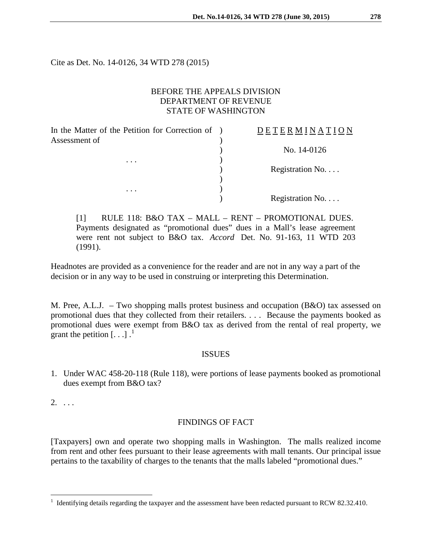Cite as Det. No. 14-0126, 34 WTD 278 (2015)

## BEFORE THE APPEALS DIVISION DEPARTMENT OF REVENUE STATE OF WASHINGTON

In the Matter of the Petition for Correction of ) Assessment of  $\lambda$ 

. . .  $\qquad \qquad$  )

. . .  $\qquad \qquad$  )

# D E T E R M I N A T I O N

) No. 14-0126

) Registration No. . . .

) Registration No. . . .

[1] RULE 118: B&O TAX – MALL – RENT – PROMOTIONAL DUES. Payments designated as "promotional dues" dues in a Mall's lease agreement were rent not subject to B&O tax. *Accord* Det. No. 91-163, 11 WTD 203 (1991).

)

Headnotes are provided as a convenience for the reader and are not in any way a part of the decision or in any way to be used in construing or interpreting this Determination.

M. Pree, A.L.J. – Two shopping malls protest business and occupation (B&O) tax assessed on promotional dues that they collected from their retailers. . . . Because the payments booked as promotional dues were exempt from B&O tax as derived from the rental of real property, we grant the petition  $\left[ \ldots \right]$ .

## **ISSUES**

1. Under WAC 458-20-118 (Rule 118), were portions of lease payments booked as promotional dues exempt from B&O tax?

2. . . .

## FINDINGS OF FACT

[Taxpayers] own and operate two shopping malls in Washington. The malls realized income from rent and other fees pursuant to their lease agreements with mall tenants. Our principal issue pertains to the taxability of charges to the tenants that the malls labeled "promotional dues."

<span id="page-0-0"></span> <sup>1</sup> Identifying details regarding the taxpayer and the assessment have been redacted pursuant to RCW 82.32.410.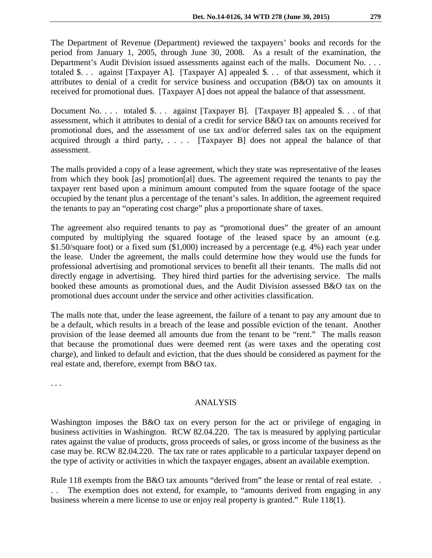The Department of Revenue (Department) reviewed the taxpayers' books and records for the period from January 1, 2005, through June 30, 2008. As a result of the examination, the Department's Audit Division issued assessments against each of the malls. Document No. . . . totaled \$. . . against [Taxpayer A]. [Taxpayer A] appealed \$. . . of that assessment, which it attributes to denial of a credit for service business and occupation (B&O) tax on amounts it received for promotional dues. [Taxpayer A] does not appeal the balance of that assessment.

Document No. . . . totaled \$. . . against [Taxpayer B]. [Taxpayer B] appealed \$. . . of that assessment, which it attributes to denial of a credit for service B&O tax on amounts received for promotional dues, and the assessment of use tax and/or deferred sales tax on the equipment acquired through a third party, . . . . [Taxpayer B] does not appeal the balance of that assessment.

The malls provided a copy of a lease agreement, which they state was representative of the leases from which they book [as] promotion[al] dues. The agreement required the tenants to pay the taxpayer rent based upon a minimum amount computed from the square footage of the space occupied by the tenant plus a percentage of the tenant's sales. In addition, the agreement required the tenants to pay an "operating cost charge" plus a proportionate share of taxes.

The agreement also required tenants to pay as "promotional dues" the greater of an amount computed by multiplying the squared footage of the leased space by an amount (e.g. \$1.50/square foot) or a fixed sum (\$1,000) increased by a percentage (e.g. 4%) each year under the lease. Under the agreement, the malls could determine how they would use the funds for professional advertising and promotional services to benefit all their tenants. The malls did not directly engage in advertising. They hired third parties for the advertising service. The malls booked these amounts as promotional dues, and the Audit Division assessed B&O tax on the promotional dues account under the service and other activities classification.

The malls note that, under the lease agreement, the failure of a tenant to pay any amount due to be a default, which results in a breach of the lease and possible eviction of the tenant. Another provision of the lease deemed all amounts due from the tenant to be "rent." The malls reason that because the promotional dues were deemed rent (as were taxes and the operating cost charge), and linked to default and eviction, that the dues should be considered as payment for the real estate and, therefore, exempt from B&O tax.

. . .

#### ANALYSIS

Washington imposes the B&O tax on every person for the act or privilege of engaging in business activities in Washington. RCW 82.04.220. The tax is measured by applying particular rates against the value of products, gross proceeds of sales, or gross income of the business as the case may be. RCW 82.04.220. The tax rate or rates applicable to a particular taxpayer depend on the type of activity or activities in which the taxpayer engages, absent an available exemption.

Rule 118 exempts from the B&O tax amounts "derived from" the lease or rental of real estate... . . The exemption does not extend, for example, to "amounts derived from engaging in any business wherein a mere license to use or enjoy real property is granted." Rule 118(1).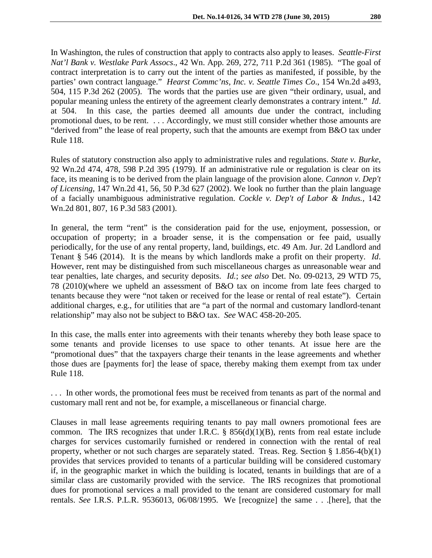In Washington, the rules of construction that apply to contracts also apply to leases. *Seattle-First Nat'l Bank v. Westlake Park Assocs*., 42 Wn. App. 269, 272, 711 P.2d 361 (1985). "The goal of contract interpretation is to carry out the intent of the parties as manifested, if possible, by the parties' own contract language." *Hearst Commc'ns, Inc. v. Seattle Times Co*., 154 Wn.2d a493, 504, 115 P.3d 262 (2005). The words that the parties use are given "their ordinary, usual, and popular meaning unless the entirety of the agreement clearly demonstrates a contrary intent." *Id*. at 504. In this case, the parties deemed all amounts due under the contract, including promotional dues, to be rent. . . . Accordingly, we must still consider whether those amounts are "derived from" the lease of real property, such that the amounts are exempt from B&O tax under Rule 118.

Rules of statutory construction also apply to administrative rules and regulations. *State v. Burke*, 92 Wn.2d 474, 478, 598 P.2d 395 (1979). If an administrative rule or regulation is clear on its face, its meaning is to be derived from the plain language of the provision alone. *Cannon v. Dep't of Licensing*, 147 Wn.2d 41, 56, 50 P.3d 627 (2002). We look no further than the plain language of a facially unambiguous administrative regulation. *[Cockle v. Dep't of Labor & Indus.,](http://web2.westlaw.com/find/default.wl?tf=-1&rs=WLW10.08&serialnum=2001078684&fn=_top&sv=Split&tc=-1&pbc=44483CAA&ordoc=2015526050&findtype=Y&db=4645&vr=2.0&rp=%2ffind%2fdefault.wl&mt=230)* 142 [Wn.2d 801, 807, 16 P.3d 583 \(2001\).](http://web2.westlaw.com/find/default.wl?tf=-1&rs=WLW10.08&serialnum=2001078684&fn=_top&sv=Split&tc=-1&pbc=44483CAA&ordoc=2015526050&findtype=Y&db=4645&vr=2.0&rp=%2ffind%2fdefault.wl&mt=230)

In general, the term "rent" is the consideration paid for the use, enjoyment, possession, or occupation of property; in a broader sense, it is the compensation or fee paid, usually periodically, for the use of any rental property, land, buildings, etc. 49 Am. Jur. 2d Landlord and Tenant § 546 (2014). It is the means by which landlords make a profit on their property. *Id*. However, rent may be distinguished from such miscellaneous charges as unreasonable wear and tear penalties, late charges, and security deposits. *Id.*; *see also* Det. No. 09-0213, 29 WTD 75, 78 (2010)(where we upheld an assessment of B&O tax on income from late fees charged to tenants because they were "not taken or received for the lease or rental of real estate"). Certain additional charges, e.g., for utilities that are "a part of the normal and customary landlord-tenant relationship" may also not be subject to B&O tax. *See* WAC 458-20-205.

In this case, the malls enter into agreements with their tenants whereby they both lease space to some tenants and provide licenses to use space to other tenants. At issue here are the "promotional dues" that the taxpayers charge their tenants in the lease agreements and whether those dues are [payments for] the lease of space, thereby making them exempt from tax under Rule 118.

. . . In other words, the promotional fees must be received from tenants as part of the normal and customary mall rent and not be, for example, a miscellaneous or financial charge.

Clauses in mall lease agreements requiring tenants to pay mall owners promotional fees are common. The IRS recognizes that under I.R.C.  $\S$  856(d)(1)(B), rents from real estate include charges for services customarily furnished or rendered in connection with the rental of real property, whether or not such charges are separately stated. Treas. Reg. Section  $\S 1.856-4(b)(1)$ provides that services provided to tenants of a particular building will be considered customary if, in the geographic market in which the building is located, tenants in buildings that are of a similar class are customarily provided with the service. The IRS recognizes that promotional dues for promotional services a mall provided to the tenant are considered customary for mall rentals. *See* I.R.S. P.L.R. 9536013, 06/08/1995. We [recognize] the same . . .[here], that the